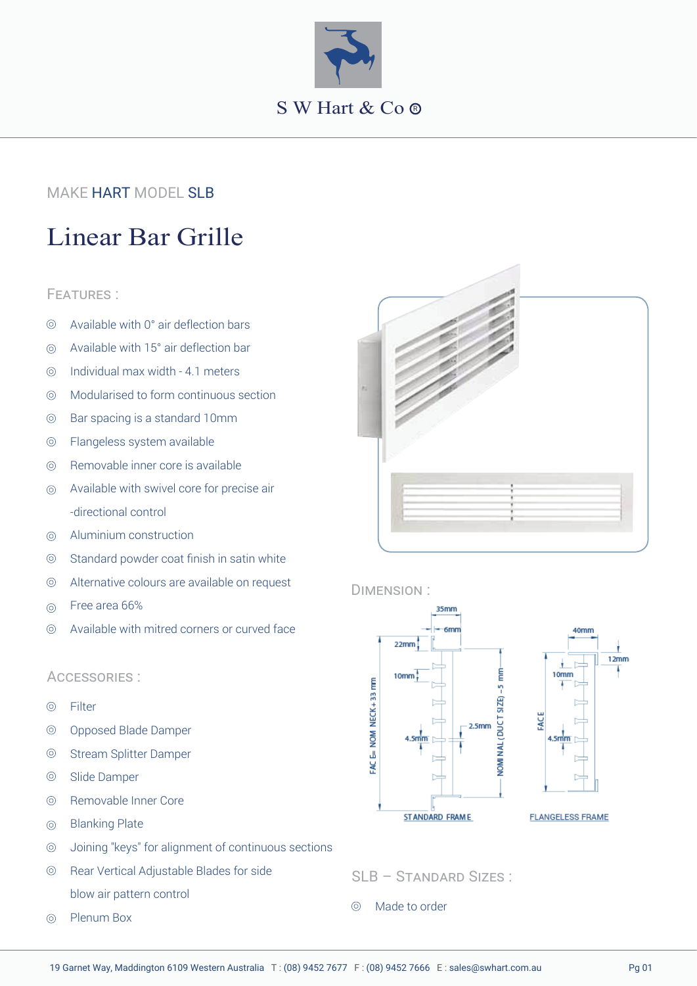

## MAKE **HART** MODEL <mark>SLB</mark>

# Linear Bar Grille

#### FEATURES :

- Available with 0° air deflection bars  $\circledcirc$
- Available with 15° air deflection bar  $\odot$
- Individual max width 4.1 meters  $\odot$
- Modularised to form continuous section  $\circledcirc$
- $\circledcirc$ Bar spacing is a standard 10mm
- Flangeless system available  $\circledcirc$
- Removable inner core is available  $\circledcirc$
- Available with swivel core for precise air  $\circledcirc$ -directional control
- Aluminium construction  $\circledcirc$
- $\odot$ Standard powder coat finish in satin white
- $\circledcirc$ Alternative colours are available on request
- Free area 66%  $\circledcirc$
- $\circledcirc$ Available with mitred corners or curved face

#### ACCESSORIES :

- $\circledcirc$ Filter
- $\circledcirc$ Opposed Blade Damper
- $\odot$ Stream Splitter Damper
- $\circledcirc$ Slide Damper
- $\circledcirc$ Removable Inner Core
- Blanking Plate  $\odot$
- Joining "keys" for alignment of continuous sections  $\circledcirc$
- Rear Vertical Adjustable Blades for side  $\circledcirc$ blow air pattern control
- Plenum Box  $\odot$



#### DIMENSION :



SLB – STANDARD SIZES :

Made to order $\odot$